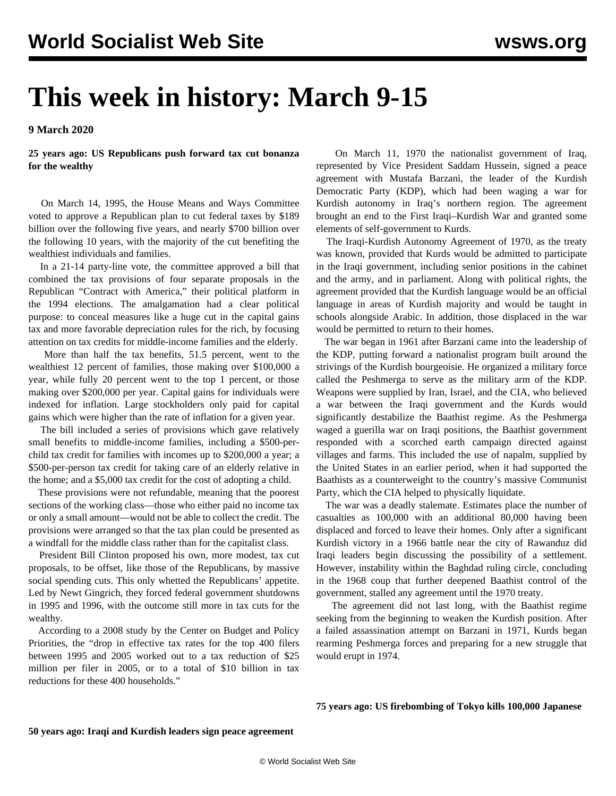## **This week in history: March 9-15**

**9 March 2020**

**25 years ago: US Republicans push forward tax cut bonanza for the wealthy**

 On March 14, 1995, the House Means and Ways Committee voted to approve a Republican plan to cut federal taxes by \$189 billion over the following five years, and nearly \$700 billion over the following 10 years, with the majority of the cut benefiting the wealthiest individuals and families.

 In a 21-14 party-line vote, the committee approved a bill that combined the tax provisions of four separate proposals in the Republican "Contract with America," their political platform in the 1994 elections. The amalgamation had a clear political purpose: to conceal measures like a huge cut in the capital gains tax and more favorable depreciation rules for the rich, by focusing attention on tax credits for middle-income families and the elderly.

 More than half the tax benefits, 51.5 percent, went to the wealthiest 12 percent of families, those making over \$100,000 a year, while fully 20 percent went to the top 1 percent, or those making over \$200,000 per year. Capital gains for individuals were indexed for inflation. Large stockholders only paid for capital gains which were higher than the rate of inflation for a given year.

 The bill included a series of provisions which gave relatively small benefits to middle-income families, including a \$500-perchild tax credit for families with incomes up to \$200,000 a year; a \$500-per-person tax credit for taking care of an elderly relative in the home; and a \$5,000 tax credit for the cost of adopting a child.

 These provisions were not refundable, meaning that the poorest sections of the working class—those who either paid no income tax or only a small amount—would not be able to collect the credit. The provisions were arranged so that the tax plan could be presented as a windfall for the middle class rather than for the capitalist class.

 President Bill Clinton proposed his own, more modest, tax cut proposals, to be offset, like those of the Republicans, by massive social spending cuts. This only whetted the Republicans' appetite. Led by Newt Gingrich, they forced federal government shutdowns in 1995 and 1996, with the outcome still more in tax cuts for the wealthy.

 According to a 2008 study by the Center on Budget and Policy Priorities, the "drop in effective tax rates for the top 400 filers between 1995 and 2005 worked out to a tax reduction of \$25 million per filer in 2005, or to a total of \$10 billion in tax reductions for these 400 households."

 On March 11, 1970 the nationalist government of Iraq, represented by Vice President Saddam Hussein, signed a peace agreement with Mustafa Barzani, the leader of the Kurdish Democratic Party (KDP), which had been waging a war for Kurdish autonomy in Iraq's northern region. The agreement brought an end to the First Iraqi–Kurdish War and granted some elements of self-government to Kurds.

 The Iraqi-Kurdish Autonomy Agreement of 1970, as the treaty was known, provided that Kurds would be admitted to participate in the Iraqi government, including senior positions in the cabinet and the army, and in parliament. Along with political rights, the agreement provided that the Kurdish language would be an official language in areas of Kurdish majority and would be taught in schools alongside Arabic. In addition, those displaced in the war would be permitted to return to their homes.

 The war began in 1961 after Barzani came into the leadership of the KDP, putting forward a nationalist program built around the strivings of the Kurdish bourgeoisie. He organized a military force called the Peshmerga to serve as the military arm of the KDP. Weapons were supplied by Iran, Israel, and the CIA, who believed a war between the Iraqi government and the Kurds would significantly destabilize the Baathist regime. As the Peshmerga waged a guerilla war on Iraqi positions, the Baathist government responded with a scorched earth campaign directed against villages and farms. This included the use of napalm, supplied by the United States in an earlier period, when it had supported the Baathists as a counterweight to the country's massive Communist Party, which the CIA helped to physically liquidate.

 The war was a deadly stalemate. Estimates place the number of casualties as 100,000 with an additional 80,000 having been displaced and forced to leave their homes. Only after a significant Kurdish victory in a 1966 battle near the city of Rawanduz did Iraqi leaders begin discussing the possibility of a settlement. However, instability within the Baghdad ruling circle, concluding in the 1968 coup that further deepened Baathist control of the government, stalled any agreement until the 1970 treaty.

 The agreement did not last long, with the Baathist regime seeking from the beginning to weaken the Kurdish position. After a failed assassination attempt on Barzani in 1971, Kurds began rearming Peshmerga forces and preparing for a new struggle that would erupt in 1974.

**75 years ago: US firebombing of Tokyo kills 100,000 Japanese**